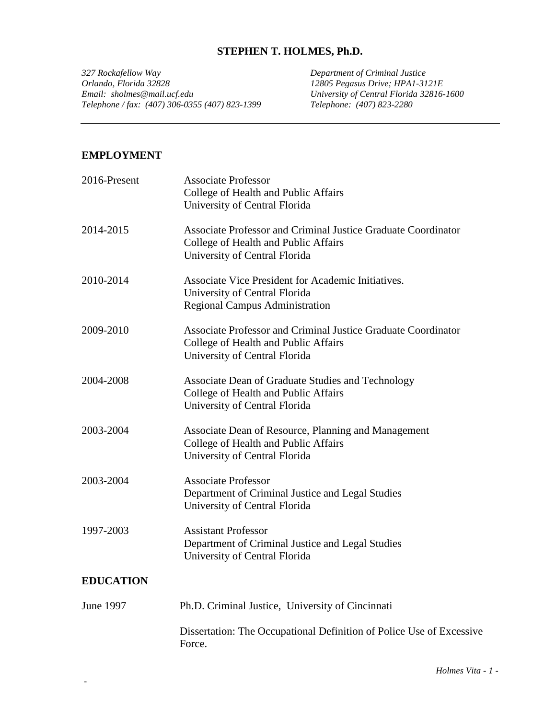## **STEPHEN T. HOLMES, Ph.D.**

*327 Rockafellow Way Department of Criminal Justice Orlando, Florida 32828 12805 Pegasus Drive; HPA1-3121E Telephone / fax: (407) 306-0355 (407) 823-1399 Telephone: (407) 823-2280*

*Email: Email: Florida 32816-1600*<br>Telephone: (407) 823-2280

#### **EMPLOYMENT**

| 2016-Present     | <b>Associate Professor</b><br>College of Health and Public Affairs<br>University of Central Florida                                    |
|------------------|----------------------------------------------------------------------------------------------------------------------------------------|
| 2014-2015        | Associate Professor and Criminal Justice Graduate Coordinator<br>College of Health and Public Affairs<br>University of Central Florida |
| 2010-2014        | Associate Vice President for Academic Initiatives.<br>University of Central Florida<br><b>Regional Campus Administration</b>           |
| 2009-2010        | Associate Professor and Criminal Justice Graduate Coordinator<br>College of Health and Public Affairs<br>University of Central Florida |
| 2004-2008        | Associate Dean of Graduate Studies and Technology<br>College of Health and Public Affairs<br>University of Central Florida             |
| 2003-2004        | Associate Dean of Resource, Planning and Management<br>College of Health and Public Affairs<br>University of Central Florida           |
| 2003-2004        | <b>Associate Professor</b><br>Department of Criminal Justice and Legal Studies<br>University of Central Florida                        |
| 1997-2003        | <b>Assistant Professor</b><br>Department of Criminal Justice and Legal Studies<br>University of Central Florida                        |
| <b>EDUCATION</b> |                                                                                                                                        |
| June 1997        | Ph.D. Criminal Justice, University of Cincinnati                                                                                       |
|                  | Dissertation: The Occupational Definition of Police Use of Excessive<br>Force.                                                         |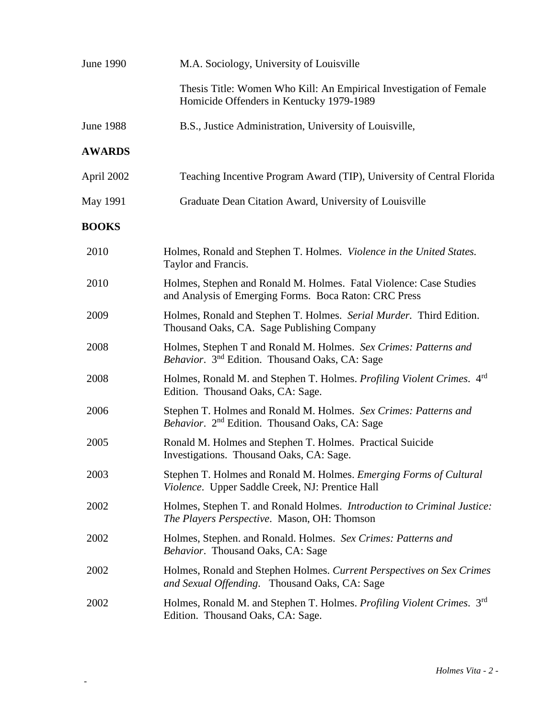| June 1990     | M.A. Sociology, University of Louisville                                                                                       |
|---------------|--------------------------------------------------------------------------------------------------------------------------------|
|               | Thesis Title: Women Who Kill: An Empirical Investigation of Female<br>Homicide Offenders in Kentucky 1979-1989                 |
| June 1988     | B.S., Justice Administration, University of Louisville,                                                                        |
| <b>AWARDS</b> |                                                                                                                                |
| April 2002    | Teaching Incentive Program Award (TIP), University of Central Florida                                                          |
| May 1991      | Graduate Dean Citation Award, University of Louisville                                                                         |
| <b>BOOKS</b>  |                                                                                                                                |
| 2010          | Holmes, Ronald and Stephen T. Holmes. Violence in the United States.<br>Taylor and Francis.                                    |
| 2010          | Holmes, Stephen and Ronald M. Holmes. Fatal Violence: Case Studies<br>and Analysis of Emerging Forms. Boca Raton: CRC Press    |
| 2009          | Holmes, Ronald and Stephen T. Holmes. Serial Murder. Third Edition.<br>Thousand Oaks, CA. Sage Publishing Company              |
| 2008          | Holmes, Stephen T and Ronald M. Holmes. Sex Crimes: Patterns and<br>Behavior. 3 <sup>nd</sup> Edition. Thousand Oaks, CA: Sage |
| 2008          | Holmes, Ronald M. and Stephen T. Holmes. Profiling Violent Crimes. 4rd<br>Edition. Thousand Oaks, CA: Sage.                    |
| 2006          | Stephen T. Holmes and Ronald M. Holmes. Sex Crimes: Patterns and<br>Behavior. 2 <sup>nd</sup> Edition. Thousand Oaks, CA: Sage |
| 2005          | Ronald M. Holmes and Stephen T. Holmes. Practical Suicide<br>Investigations. Thousand Oaks, CA: Sage.                          |
| 2003          | Stephen T. Holmes and Ronald M. Holmes. Emerging Forms of Cultural<br>Violence. Upper Saddle Creek, NJ: Prentice Hall          |
| 2002          | Holmes, Stephen T. and Ronald Holmes. Introduction to Criminal Justice:<br><i>The Players Perspective.</i> Mason, OH: Thomson  |
| 2002          | Holmes, Stephen. and Ronald. Holmes. Sex Crimes: Patterns and<br>Behavior. Thousand Oaks, CA: Sage                             |
| 2002          | Holmes, Ronald and Stephen Holmes. Current Perspectives on Sex Crimes<br>and Sexual Offending. Thousand Oaks, CA: Sage         |
| 2002          | Holmes, Ronald M. and Stephen T. Holmes. Profiling Violent Crimes. 3rd<br>Edition. Thousand Oaks, CA: Sage.                    |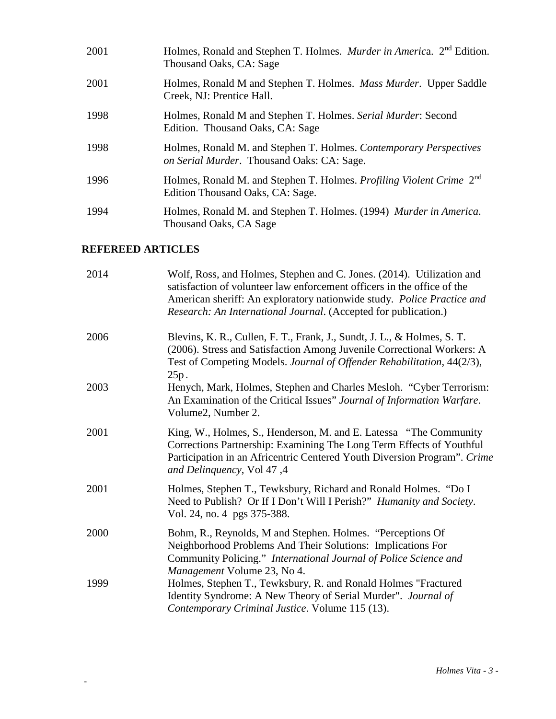| 2001 | Holmes, Ronald and Stephen T. Holmes. <i>Murder in America</i> . 2 <sup>nd</sup> Edition.<br>Thousand Oaks, CA: Sage |
|------|----------------------------------------------------------------------------------------------------------------------|
| 2001 | Holmes, Ronald M and Stephen T. Holmes. Mass Murder. Upper Saddle<br>Creek, NJ: Prentice Hall.                       |
| 1998 | Holmes, Ronald M and Stephen T. Holmes. Serial Murder: Second<br>Edition. Thousand Oaks, CA: Sage                    |
| 1998 | Holmes, Ronald M. and Stephen T. Holmes. Contemporary Perspectives<br>on Serial Murder. Thousand Oaks: CA: Sage.     |
| 1996 | Holmes, Ronald M. and Stephen T. Holmes. Profiling Violent Crime 2 <sup>nd</sup><br>Edition Thousand Oaks, CA: Sage. |
| 1994 | Holmes, Ronald M. and Stephen T. Holmes. (1994) Murder in America.<br>Thousand Oaks, CA Sage                         |

# **REFEREED ARTICLES**

| 2014 | Wolf, Ross, and Holmes, Stephen and C. Jones. (2014). Utilization and<br>satisfaction of volunteer law enforcement officers in the office of the<br>American sheriff: An exploratory nationwide study. Police Practice and<br>Research: An International Journal. (Accepted for publication.) |
|------|-----------------------------------------------------------------------------------------------------------------------------------------------------------------------------------------------------------------------------------------------------------------------------------------------|
| 2006 | Blevins, K. R., Cullen, F. T., Frank, J., Sundt, J. L., & Holmes, S. T.<br>(2006). Stress and Satisfaction Among Juvenile Correctional Workers: A<br>Test of Competing Models. Journal of Offender Rehabilitation, 44(2/3),<br>25p.                                                           |
| 2003 | Henych, Mark, Holmes, Stephen and Charles Mesloh. "Cyber Terrorism:<br>An Examination of the Critical Issues" Journal of Information Warfare.<br>Volume2, Number 2.                                                                                                                           |
| 2001 | King, W., Holmes, S., Henderson, M. and E. Latessa "The Community"<br>Corrections Partnership: Examining The Long Term Effects of Youthful<br>Participation in an Africentric Centered Youth Diversion Program". Crime<br>and Delinquency, Vol 47,4                                           |
| 2001 | Holmes, Stephen T., Tewksbury, Richard and Ronald Holmes. "Do I<br>Need to Publish? Or If I Don't Will I Perish?" Humanity and Society.<br>Vol. 24, no. 4 pgs 375-388.                                                                                                                        |
| 2000 | Bohm, R., Reynolds, M and Stephen. Holmes. "Perceptions Of<br>Neighborhood Problems And Their Solutions: Implications For<br>Community Policing." International Journal of Police Science and<br>Management Volume 23, No 4.                                                                  |
| 1999 | Holmes, Stephen T., Tewksbury, R. and Ronald Holmes "Fractured<br>Identity Syndrome: A New Theory of Serial Murder". Journal of<br>Contemporary Criminal Justice. Volume 115 (13).                                                                                                            |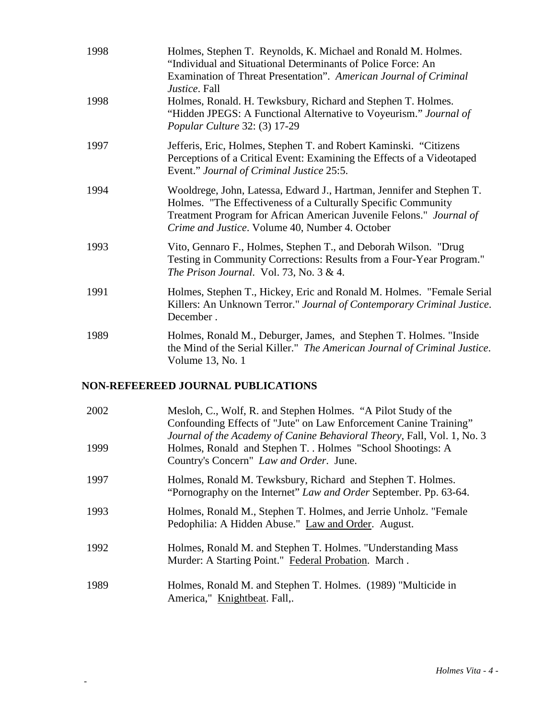| 1998 | Holmes, Stephen T. Reynolds, K. Michael and Ronald M. Holmes.<br>"Individual and Situational Determinants of Police Force: An<br>Examination of Threat Presentation". American Journal of Criminal<br><i>Justice</i> . Fall                                      |
|------|------------------------------------------------------------------------------------------------------------------------------------------------------------------------------------------------------------------------------------------------------------------|
| 1998 | Holmes, Ronald. H. Tewksbury, Richard and Stephen T. Holmes.<br>"Hidden JPEGS: A Functional Alternative to Voyeurism." Journal of<br>Popular Culture 32: (3) 17-29                                                                                               |
| 1997 | Jefferis, Eric, Holmes, Stephen T. and Robert Kaminski. "Citizens<br>Perceptions of a Critical Event: Examining the Effects of a Videotaped<br>Event." Journal of Criminal Justice 25:5.                                                                         |
| 1994 | Wooldrege, John, Latessa, Edward J., Hartman, Jennifer and Stephen T.<br>Holmes. "The Effectiveness of a Culturally Specific Community<br>Treatment Program for African American Juvenile Felons." Journal of<br>Crime and Justice. Volume 40, Number 4. October |
| 1993 | Vito, Gennaro F., Holmes, Stephen T., and Deborah Wilson. "Drug<br>Testing in Community Corrections: Results from a Four-Year Program."<br>The Prison Journal. Vol. 73, No. $3 & 4$ .                                                                            |
| 1991 | Holmes, Stephen T., Hickey, Eric and Ronald M. Holmes. "Female Serial<br>Killers: An Unknown Terror." Journal of Contemporary Criminal Justice.<br>December.                                                                                                     |
| 1989 | Holmes, Ronald M., Deburger, James, and Stephen T. Holmes. "Inside<br>the Mind of the Serial Killer." The American Journal of Criminal Justice.<br>Volume 13, No. 1                                                                                              |

# **NON-REFEEREED JOURNAL PUBLICATIONS**

| 2002 | Mesloh, C., Wolf, R. and Stephen Holmes. "A Pilot Study of the<br>Confounding Effects of "Jute" on Law Enforcement Canine Training"<br>Journal of the Academy of Canine Behavioral Theory, Fall, Vol. 1, No. 3 |
|------|----------------------------------------------------------------------------------------------------------------------------------------------------------------------------------------------------------------|
| 1999 | Holmes, Ronald and Stephen T. . Holmes "School Shootings: A<br>Country's Concern" Law and Order. June.                                                                                                         |
| 1997 | Holmes, Ronald M. Tewksbury, Richard and Stephen T. Holmes.<br>"Pornography on the Internet" Law and Order September. Pp. 63-64.                                                                               |
| 1993 | Holmes, Ronald M., Stephen T. Holmes, and Jerrie Unholz. "Female<br>Pedophilia: A Hidden Abuse." Law and Order. August.                                                                                        |
| 1992 | Holmes, Ronald M. and Stephen T. Holmes. "Understanding Mass<br>Murder: A Starting Point." Federal Probation. March.                                                                                           |
| 1989 | Holmes, Ronald M. and Stephen T. Holmes. (1989) "Multicide in<br>America," Knightbeat. Fall,.                                                                                                                  |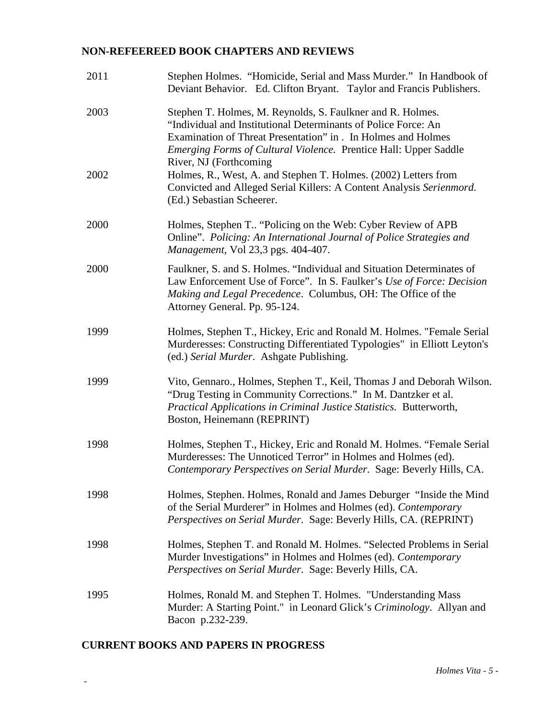## **NON-REFEEREED BOOK CHAPTERS AND REVIEWS**

| 2011 | Stephen Holmes. "Homicide, Serial and Mass Murder." In Handbook of<br>Deviant Behavior. Ed. Clifton Bryant. Taylor and Francis Publishers.                                                                                                                                                  |
|------|---------------------------------------------------------------------------------------------------------------------------------------------------------------------------------------------------------------------------------------------------------------------------------------------|
| 2003 | Stephen T. Holmes, M. Reynolds, S. Faulkner and R. Holmes.<br>"Individual and Institutional Determinants of Police Force: An<br>Examination of Threat Presentation" in . In Holmes and Holmes<br>Emerging Forms of Cultural Violence. Prentice Hall: Upper Saddle<br>River, NJ (Forthcoming |
| 2002 | Holmes, R., West, A. and Stephen T. Holmes. (2002) Letters from<br>Convicted and Alleged Serial Killers: A Content Analysis Serienmord.<br>(Ed.) Sebastian Scheerer.                                                                                                                        |
| 2000 | Holmes, Stephen T "Policing on the Web: Cyber Review of APB<br>Online". Policing: An International Journal of Police Strategies and<br>Management, Vol 23,3 pgs. 404-407.                                                                                                                   |
| 2000 | Faulkner, S. and S. Holmes. "Individual and Situation Determinates of<br>Law Enforcement Use of Force". In S. Faulker's Use of Force: Decision<br>Making and Legal Precedence. Columbus, OH: The Office of the<br>Attorney General. Pp. 95-124.                                             |
| 1999 | Holmes, Stephen T., Hickey, Eric and Ronald M. Holmes. "Female Serial<br>Murderesses: Constructing Differentiated Typologies" in Elliott Leyton's<br>(ed.) Serial Murder. Ashgate Publishing.                                                                                               |
| 1999 | Vito, Gennaro., Holmes, Stephen T., Keil, Thomas J and Deborah Wilson.<br>"Drug Testing in Community Corrections." In M. Dantzker et al.<br>Practical Applications in Criminal Justice Statistics. Butterworth,<br>Boston, Heinemann (REPRINT)                                              |
| 1998 | Holmes, Stephen T., Hickey, Eric and Ronald M. Holmes. "Female Serial<br>Murderesses: The Unnoticed Terror" in Holmes and Holmes (ed).<br>Contemporary Perspectives on Serial Murder. Sage: Beverly Hills, CA.                                                                              |
| 1998 | Holmes, Stephen. Holmes, Ronald and James Deburger "Inside the Mind"<br>of the Serial Murderer" in Holmes and Holmes (ed). Contemporary<br>Perspectives on Serial Murder. Sage: Beverly Hills, CA. (REPRINT)                                                                                |
| 1998 | Holmes, Stephen T. and Ronald M. Holmes. "Selected Problems in Serial<br>Murder Investigations" in Holmes and Holmes (ed). Contemporary<br>Perspectives on Serial Murder. Sage: Beverly Hills, CA.                                                                                          |
| 1995 | Holmes, Ronald M. and Stephen T. Holmes. "Understanding Mass<br>Murder: A Starting Point." in Leonard Glick's Criminology. Allyan and<br>Bacon p.232-239.                                                                                                                                   |

# **CURRENT BOOKS AND PAPERS IN PROGRESS**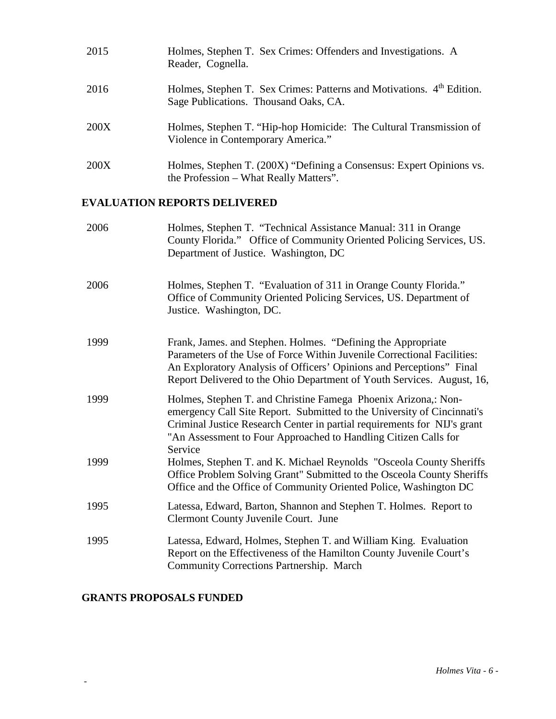| 2015 | Holmes, Stephen T. Sex Crimes: Offenders and Investigations. A<br>Reader, Cognella.                            |
|------|----------------------------------------------------------------------------------------------------------------|
| 2016 | Holmes, Stephen T. Sex Crimes: Patterns and Motivations. 4th Edition.<br>Sage Publications. Thousand Oaks, CA. |
| 200X | Holmes, Stephen T. "Hip-hop Homicide: The Cultural Transmission of<br>Violence in Contemporary America."       |
| 200X | Holmes, Stephen T. (200X) "Defining a Consensus: Expert Opinions vs.<br>the Profession – What Really Matters". |

# **EVALUATION REPORTS DELIVERED**

| 2006 | Holmes, Stephen T. "Technical Assistance Manual: 311 in Orange<br>County Florida." Office of Community Oriented Policing Services, US.<br>Department of Justice. Washington, DC                                                                                                                     |
|------|-----------------------------------------------------------------------------------------------------------------------------------------------------------------------------------------------------------------------------------------------------------------------------------------------------|
| 2006 | Holmes, Stephen T. "Evaluation of 311 in Orange County Florida."<br>Office of Community Oriented Policing Services, US. Department of<br>Justice. Washington, DC.                                                                                                                                   |
| 1999 | Frank, James. and Stephen. Holmes. "Defining the Appropriate<br>Parameters of the Use of Force Within Juvenile Correctional Facilities:<br>An Exploratory Analysis of Officers' Opinions and Perceptions" Final<br>Report Delivered to the Ohio Department of Youth Services. August, 16,           |
| 1999 | Holmes, Stephen T. and Christine Famega Phoenix Arizona,: Non-<br>emergency Call Site Report. Submitted to the University of Cincinnati's<br>Criminal Justice Research Center in partial requirements for NIJ's grant<br>"An Assessment to Four Approached to Handling Citizen Calls for<br>Service |
| 1999 | Holmes, Stephen T. and K. Michael Reynolds "Osceola County Sheriffs"<br>Office Problem Solving Grant" Submitted to the Osceola County Sheriffs<br>Office and the Office of Community Oriented Police, Washington DC                                                                                 |
| 1995 | Latessa, Edward, Barton, Shannon and Stephen T. Holmes. Report to<br>Clermont County Juvenile Court. June                                                                                                                                                                                           |
| 1995 | Latessa, Edward, Holmes, Stephen T. and William King. Evaluation<br>Report on the Effectiveness of the Hamilton County Juvenile Court's<br><b>Community Corrections Partnership. March</b>                                                                                                          |

# **GRANTS PROPOSALS FUNDED**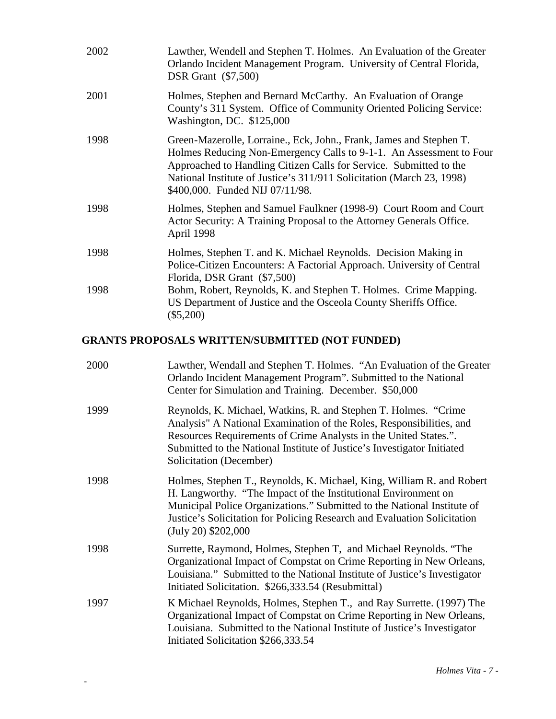| 2002 | Lawther, Wendell and Stephen T. Holmes. An Evaluation of the Greater<br>Orlando Incident Management Program. University of Central Florida,<br><b>DSR</b> Grant (\$7,500)                                                                                                                                                    |
|------|------------------------------------------------------------------------------------------------------------------------------------------------------------------------------------------------------------------------------------------------------------------------------------------------------------------------------|
| 2001 | Holmes, Stephen and Bernard McCarthy. An Evaluation of Orange<br>County's 311 System. Office of Community Oriented Policing Service:<br>Washington, DC. \$125,000                                                                                                                                                            |
| 1998 | Green-Mazerolle, Lorraine., Eck, John., Frank, James and Stephen T.<br>Holmes Reducing Non-Emergency Calls to 9-1-1. An Assessment to Four<br>Approached to Handling Citizen Calls for Service. Submitted to the<br>National Institute of Justice's 311/911 Solicitation (March 23, 1998)<br>\$400,000. Funded NIJ 07/11/98. |
| 1998 | Holmes, Stephen and Samuel Faulkner (1998-9) Court Room and Court<br>Actor Security: A Training Proposal to the Attorney Generals Office.<br>April 1998                                                                                                                                                                      |
| 1998 | Holmes, Stephen T. and K. Michael Reynolds. Decision Making in<br>Police-Citizen Encounters: A Factorial Approach. University of Central<br>Florida, DSR Grant (\$7,500)                                                                                                                                                     |
| 1998 | Bohm, Robert, Reynolds, K. and Stephen T. Holmes. Crime Mapping.<br>US Department of Justice and the Osceola County Sheriffs Office.<br>$(\$5,200)$                                                                                                                                                                          |

# **GRANTS PROPOSALS WRITTEN/SUBMITTED (NOT FUNDED)**

| 2000 | Lawther, Wendall and Stephen T. Holmes. "An Evaluation of the Greater<br>Orlando Incident Management Program". Submitted to the National<br>Center for Simulation and Training. December. \$50,000                                                                                                                    |
|------|-----------------------------------------------------------------------------------------------------------------------------------------------------------------------------------------------------------------------------------------------------------------------------------------------------------------------|
| 1999 | Reynolds, K. Michael, Watkins, R. and Stephen T. Holmes. "Crime<br>Analysis" A National Examination of the Roles, Responsibilities, and<br>Resources Requirements of Crime Analysts in the United States.".<br>Submitted to the National Institute of Justice's Investigator Initiated<br>Solicitation (December)     |
| 1998 | Holmes, Stephen T., Reynolds, K. Michael, King, William R. and Robert<br>H. Langworthy. "The Impact of the Institutional Environment on<br>Municipal Police Organizations." Submitted to the National Institute of<br>Justice's Solicitation for Policing Research and Evaluation Solicitation<br>(July 20) \$202,000 |
| 1998 | Surrette, Raymond, Holmes, Stephen T, and Michael Reynolds. "The<br>Organizational Impact of Compstat on Crime Reporting in New Orleans,<br>Louisiana." Submitted to the National Institute of Justice's Investigator<br>Initiated Solicitation. \$266,333.54 (Resubmittal)                                           |
| 1997 | K Michael Reynolds, Holmes, Stephen T., and Ray Surrette. (1997) The<br>Organizational Impact of Compstat on Crime Reporting in New Orleans,<br>Louisiana. Submitted to the National Institute of Justice's Investigator<br>Initiated Solicitation \$266,333.54                                                       |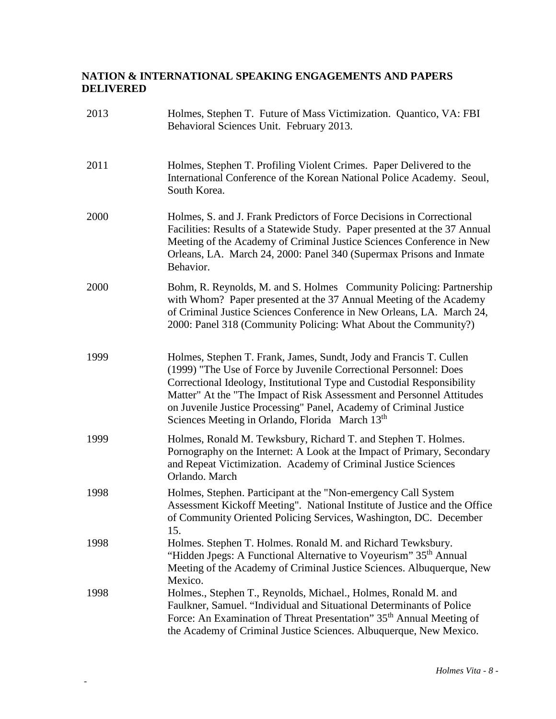# **NATION & INTERNATIONAL SPEAKING ENGAGEMENTS AND PAPERS DELIVERED**

| 2013 | Holmes, Stephen T. Future of Mass Victimization. Quantico, VA: FBI<br>Behavioral Sciences Unit. February 2013.                                                                                                                                                                                                                                                                                                                  |
|------|---------------------------------------------------------------------------------------------------------------------------------------------------------------------------------------------------------------------------------------------------------------------------------------------------------------------------------------------------------------------------------------------------------------------------------|
| 2011 | Holmes, Stephen T. Profiling Violent Crimes. Paper Delivered to the<br>International Conference of the Korean National Police Academy. Seoul,<br>South Korea.                                                                                                                                                                                                                                                                   |
| 2000 | Holmes, S. and J. Frank Predictors of Force Decisions in Correctional<br>Facilities: Results of a Statewide Study. Paper presented at the 37 Annual<br>Meeting of the Academy of Criminal Justice Sciences Conference in New<br>Orleans, LA. March 24, 2000: Panel 340 (Supermax Prisons and Inmate<br>Behavior.                                                                                                                |
| 2000 | Bohm, R. Reynolds, M. and S. Holmes Community Policing: Partnership<br>with Whom? Paper presented at the 37 Annual Meeting of the Academy<br>of Criminal Justice Sciences Conference in New Orleans, LA. March 24,<br>2000: Panel 318 (Community Policing: What About the Community?)                                                                                                                                           |
| 1999 | Holmes, Stephen T. Frank, James, Sundt, Jody and Francis T. Cullen<br>(1999) "The Use of Force by Juvenile Correctional Personnel: Does<br>Correctional Ideology, Institutional Type and Custodial Responsibility<br>Matter" At the "The Impact of Risk Assessment and Personnel Attitudes<br>on Juvenile Justice Processing" Panel, Academy of Criminal Justice<br>Sciences Meeting in Orlando, Florida March 13 <sup>th</sup> |
| 1999 | Holmes, Ronald M. Tewksbury, Richard T. and Stephen T. Holmes.<br>Pornography on the Internet: A Look at the Impact of Primary, Secondary<br>and Repeat Victimization. Academy of Criminal Justice Sciences<br>Orlando. March                                                                                                                                                                                                   |
| 1998 | Holmes, Stephen. Participant at the "Non-emergency Call System<br>Assessment Kickoff Meeting". National Institute of Justice and the Office<br>of Community Oriented Policing Services, Washington, DC. December<br>15.                                                                                                                                                                                                         |
| 1998 | Holmes. Stephen T. Holmes. Ronald M. and Richard Tewksbury.<br>"Hidden Jpegs: A Functional Alternative to Voyeurism" 35 <sup>th</sup> Annual<br>Meeting of the Academy of Criminal Justice Sciences. Albuquerque, New<br>Mexico.                                                                                                                                                                                                |
| 1998 | Holmes., Stephen T., Reynolds, Michael., Holmes, Ronald M. and<br>Faulkner, Samuel. "Individual and Situational Determinants of Police<br>Force: An Examination of Threat Presentation" 35 <sup>th</sup> Annual Meeting of<br>the Academy of Criminal Justice Sciences. Albuquerque, New Mexico.                                                                                                                                |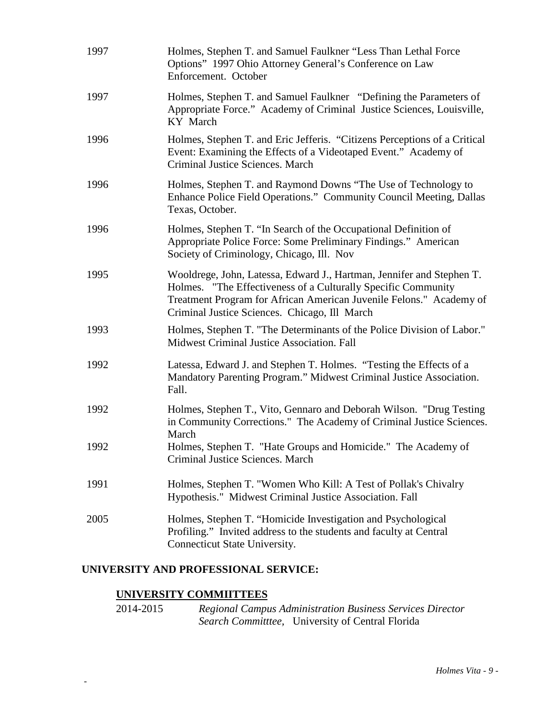| 1997 | Holmes, Stephen T. and Samuel Faulkner "Less Than Lethal Force<br>Options" 1997 Ohio Attorney General's Conference on Law<br>Enforcement. October                                                                                                              |
|------|----------------------------------------------------------------------------------------------------------------------------------------------------------------------------------------------------------------------------------------------------------------|
| 1997 | Holmes, Stephen T. and Samuel Faulkner "Defining the Parameters of<br>Appropriate Force." Academy of Criminal Justice Sciences, Louisville,<br>KY March                                                                                                        |
| 1996 | Holmes, Stephen T. and Eric Jefferis. "Citizens Perceptions of a Critical<br>Event: Examining the Effects of a Videotaped Event." Academy of<br>Criminal Justice Sciences. March                                                                               |
| 1996 | Holmes, Stephen T. and Raymond Downs "The Use of Technology to<br>Enhance Police Field Operations." Community Council Meeting, Dallas<br>Texas, October.                                                                                                       |
| 1996 | Holmes, Stephen T. "In Search of the Occupational Definition of<br>Appropriate Police Force: Some Preliminary Findings." American<br>Society of Criminology, Chicago, Ill. Nov                                                                                 |
| 1995 | Wooldrege, John, Latessa, Edward J., Hartman, Jennifer and Stephen T.<br>Holmes. "The Effectiveness of a Culturally Specific Community<br>Treatment Program for African American Juvenile Felons." Academy of<br>Criminal Justice Sciences. Chicago, Ill March |
| 1993 | Holmes, Stephen T. "The Determinants of the Police Division of Labor."<br>Midwest Criminal Justice Association. Fall                                                                                                                                           |
| 1992 | Latessa, Edward J. and Stephen T. Holmes. "Testing the Effects of a<br>Mandatory Parenting Program." Midwest Criminal Justice Association.<br>Fall.                                                                                                            |
| 1992 | Holmes, Stephen T., Vito, Gennaro and Deborah Wilson. "Drug Testing<br>in Community Corrections." The Academy of Criminal Justice Sciences.<br>March                                                                                                           |
| 1992 | Holmes, Stephen T. "Hate Groups and Homicide." The Academy of<br>Criminal Justice Sciences. March                                                                                                                                                              |
| 1991 | Holmes, Stephen T. "Women Who Kill: A Test of Pollak's Chivalry<br>Hypothesis." Midwest Criminal Justice Association. Fall                                                                                                                                     |
| 2005 | Holmes, Stephen T. "Homicide Investigation and Psychological<br>Profiling." Invited address to the students and faculty at Central<br>Connecticut State University.                                                                                            |

### **UNIVERSITY AND PROFESSIONAL SERVICE:**

# **UNIVERSITY COMMIITTEES**

-

2014-2015 *Regional Campus Administration Business Services Director Search Committtee,* University of Central Florida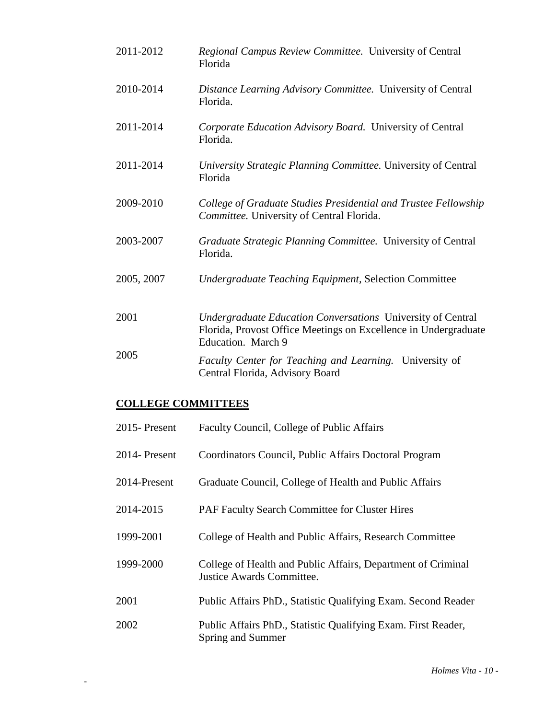| 2011-2012  | Regional Campus Review Committee. University of Central<br>Florida                                                                                   |
|------------|------------------------------------------------------------------------------------------------------------------------------------------------------|
| 2010-2014  | Distance Learning Advisory Committee. University of Central<br>Florida.                                                                              |
| 2011-2014  | Corporate Education Advisory Board. University of Central<br>Florida.                                                                                |
| 2011-2014  | University Strategic Planning Committee. University of Central<br>Florida                                                                            |
| 2009-2010  | College of Graduate Studies Presidential and Trustee Fellowship<br>Committee. University of Central Florida.                                         |
| 2003-2007  | Graduate Strategic Planning Committee. University of Central<br>Florida.                                                                             |
| 2005, 2007 | <b>Undergraduate Teaching Equipment, Selection Committee</b>                                                                                         |
| 2001       | Undergraduate Education Conversations University of Central<br>Florida, Provost Office Meetings on Excellence in Undergraduate<br>Education. March 9 |
| 2005       | Faculty Center for Teaching and Learning. University of<br>Central Florida, Advisory Board                                                           |

# **COLLEGE COMMITTEES**

| 2015-Present  | Faculty Council, College of Public Affairs                                                       |
|---------------|--------------------------------------------------------------------------------------------------|
| 2014- Present | Coordinators Council, Public Affairs Doctoral Program                                            |
| 2014-Present  | Graduate Council, College of Health and Public Affairs                                           |
| 2014-2015     | PAF Faculty Search Committee for Cluster Hires                                                   |
| 1999-2001     | College of Health and Public Affairs, Research Committee                                         |
| 1999-2000     | College of Health and Public Affairs, Department of Criminal<br><b>Justice Awards Committee.</b> |
| 2001          | Public Affairs PhD., Statistic Qualifying Exam. Second Reader                                    |
| 2002          | Public Affairs PhD., Statistic Qualifying Exam. First Reader,<br>Spring and Summer               |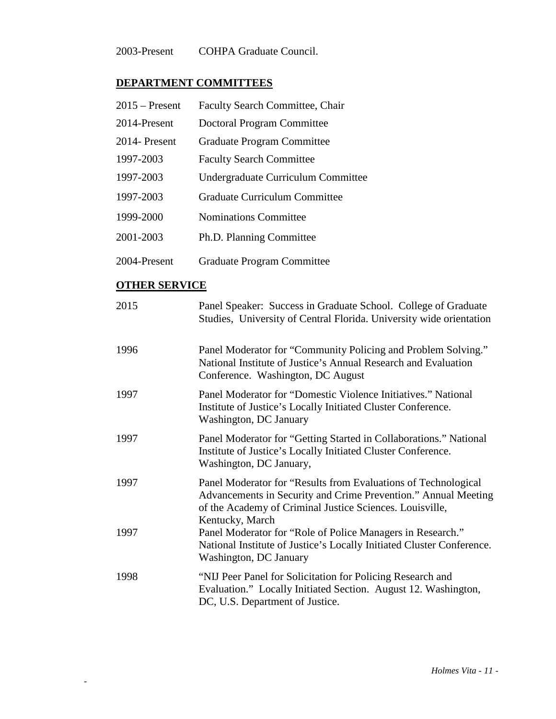2003-Present COHPA Graduate Council.

# **DEPARTMENT COMMITTEES**

| $2015$ – Present | <b>Faculty Search Committee, Chair</b> |
|------------------|----------------------------------------|
| 2014-Present     | Doctoral Program Committee             |
| 2014- Present    | Graduate Program Committee             |
| 1997-2003        | <b>Faculty Search Committee</b>        |
| 1997-2003        | Undergraduate Curriculum Committee     |
| 1997-2003        | Graduate Curriculum Committee          |
| 1999-2000        | <b>Nominations Committee</b>           |
| 2001-2003        | Ph.D. Planning Committee               |
| 2004-Present     | Graduate Program Committee             |

## **OTHER SERVICE**

| 2015 | Panel Speaker: Success in Graduate School. College of Graduate<br>Studies, University of Central Florida. University wide orientation                                                                           |
|------|-----------------------------------------------------------------------------------------------------------------------------------------------------------------------------------------------------------------|
| 1996 | Panel Moderator for "Community Policing and Problem Solving."<br>National Institute of Justice's Annual Research and Evaluation<br>Conference. Washington, DC August                                            |
| 1997 | Panel Moderator for "Domestic Violence Initiatives." National<br>Institute of Justice's Locally Initiated Cluster Conference.<br>Washington, DC January                                                         |
| 1997 | Panel Moderator for "Getting Started in Collaborations." National<br>Institute of Justice's Locally Initiated Cluster Conference.<br>Washington, DC January,                                                    |
| 1997 | Panel Moderator for "Results from Evaluations of Technological<br>Advancements in Security and Crime Prevention." Annual Meeting<br>of the Academy of Criminal Justice Sciences. Louisville,<br>Kentucky, March |
| 1997 | Panel Moderator for "Role of Police Managers in Research."<br>National Institute of Justice's Locally Initiated Cluster Conference.<br>Washington, DC January                                                   |
| 1998 | "NIJ Peer Panel for Solicitation for Policing Research and<br>Evaluation." Locally Initiated Section. August 12. Washington,<br>DC, U.S. Department of Justice.                                                 |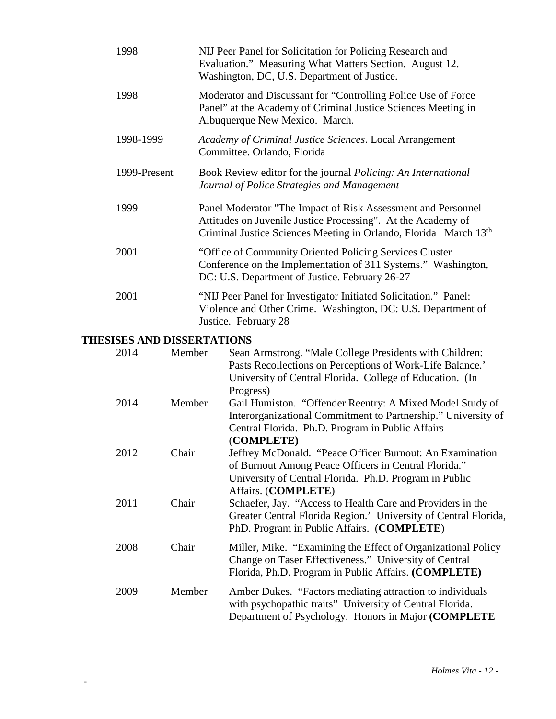| 1998         | NIJ Peer Panel for Solicitation for Policing Research and<br>Evaluation." Measuring What Matters Section. August 12.<br>Washington, DC, U.S. Department of Justice.                                          |
|--------------|--------------------------------------------------------------------------------------------------------------------------------------------------------------------------------------------------------------|
| 1998         | Moderator and Discussant for "Controlling Police Use of Force"<br>Panel" at the Academy of Criminal Justice Sciences Meeting in<br>Albuquerque New Mexico. March.                                            |
| 1998-1999    | Academy of Criminal Justice Sciences. Local Arrangement<br>Committee. Orlando, Florida                                                                                                                       |
| 1999-Present | Book Review editor for the journal <i>Policing: An International</i><br>Journal of Police Strategies and Management                                                                                          |
| 1999         | Panel Moderator "The Impact of Risk Assessment and Personnel<br>Attitudes on Juvenile Justice Processing". At the Academy of<br>Criminal Justice Sciences Meeting in Orlando, Florida March 13 <sup>th</sup> |
| 2001         | "Office of Community Oriented Policing Services Cluster<br>Conference on the Implementation of 311 Systems." Washington,<br>DC: U.S. Department of Justice. February 26-27                                   |
| 2001         | "NIJ Peer Panel for Investigator Initiated Solicitation." Panel:<br>Violence and Other Crime. Washington, DC: U.S. Department of<br>Justice. February 28                                                     |

# **THESISES AND DISSERTATIONS**

| 2014 | Member | Sean Armstrong. "Male College Presidents with Children:         |
|------|--------|-----------------------------------------------------------------|
|      |        | Pasts Recollections on Perceptions of Work-Life Balance.'       |
|      |        | University of Central Florida. College of Education. (In        |
|      |        | Progress)                                                       |
| 2014 | Member | Gail Humiston. "Offender Reentry: A Mixed Model Study of        |
|      |        | Interorganizational Commitment to Partnership." University of   |
|      |        | Central Florida. Ph.D. Program in Public Affairs                |
|      |        | (COMPLETE)                                                      |
| 2012 | Chair  | Jeffrey McDonald. "Peace Officer Burnout: An Examination        |
|      |        | of Burnout Among Peace Officers in Central Florida."            |
|      |        | University of Central Florida. Ph.D. Program in Public          |
|      |        | Affairs. (COMPLETE)                                             |
| 2011 | Chair  | Schaefer, Jay. "Access to Health Care and Providers in the      |
|      |        | Greater Central Florida Region.' University of Central Florida, |
|      |        | PhD. Program in Public Affairs. (COMPLETE)                      |
|      |        |                                                                 |
| 2008 | Chair  | Miller, Mike. "Examining the Effect of Organizational Policy    |
|      |        | Change on Taser Effectiveness." University of Central           |
|      |        | Florida, Ph.D. Program in Public Affairs. (COMPLETE)            |
| 2009 | Member | Amber Dukes. "Factors mediating attraction to individuals       |
|      |        | with psychopathic traits" University of Central Florida.        |
|      |        | Department of Psychology. Honors in Major (COMPLETE             |
|      |        |                                                                 |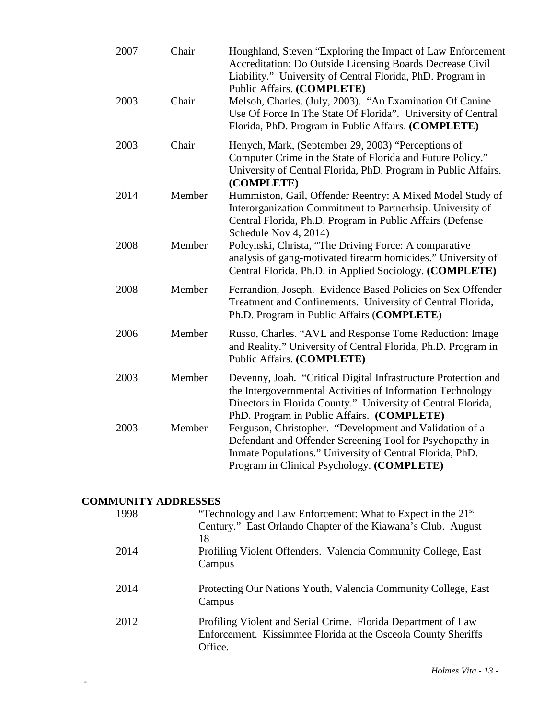| 2007 | Chair  | Houghland, Steven "Exploring the Impact of Law Enforcement<br>Accreditation: Do Outside Licensing Boards Decrease Civil<br>Liability." University of Central Florida, PhD. Program in<br>Public Affairs. (COMPLETE)                        |
|------|--------|--------------------------------------------------------------------------------------------------------------------------------------------------------------------------------------------------------------------------------------------|
| 2003 | Chair  | Melsoh, Charles. (July, 2003). "An Examination Of Canine<br>Use Of Force In The State Of Florida". University of Central<br>Florida, PhD. Program in Public Affairs. (COMPLETE)                                                            |
| 2003 | Chair  | Henych, Mark, (September 29, 2003) "Perceptions of<br>Computer Crime in the State of Florida and Future Policy."<br>University of Central Florida, PhD. Program in Public Affairs.<br>(COMPLETE)                                           |
| 2014 | Member | Hummiston, Gail, Offender Reentry: A Mixed Model Study of<br>Interorganization Commitment to Partnerhsip. University of<br>Central Florida, Ph.D. Program in Public Affairs (Defense<br>Schedule Nov 4, 2014)                              |
| 2008 | Member | Polcynski, Christa, "The Driving Force: A comparative<br>analysis of gang-motivated firearm homicides." University of<br>Central Florida. Ph.D. in Applied Sociology. (COMPLETE)                                                           |
| 2008 | Member | Ferrandion, Joseph. Evidence Based Policies on Sex Offender<br>Treatment and Confinements. University of Central Florida,<br>Ph.D. Program in Public Affairs (COMPLETE)                                                                    |
| 2006 | Member | Russo, Charles. "AVL and Response Tome Reduction: Image<br>and Reality." University of Central Florida, Ph.D. Program in<br><b>Public Affairs. (COMPLETE)</b>                                                                              |
| 2003 | Member | Devenny, Joah. "Critical Digital Infrastructure Protection and<br>the Intergovernmental Activities of Information Technology<br>Directors in Florida County." University of Central Florida,<br>PhD. Program in Public Affairs. (COMPLETE) |
| 2003 | Member | Ferguson, Christopher. "Development and Validation of a<br>Defendant and Offender Screening Tool for Psychopathy in<br>Inmate Populations." University of Central Florida, PhD.<br>Program in Clinical Psychology. (COMPLETE)              |

# **COMMUNITY ADDRESSES**

| 1998 | "Technology and Law Enforcement: What to Expect in the 21 <sup>st</sup><br>Century." East Orlando Chapter of the Kiawana's Club. August   |
|------|-------------------------------------------------------------------------------------------------------------------------------------------|
| 2014 | 18<br>Profiling Violent Offenders. Valencia Community College, East<br>Campus                                                             |
| 2014 | Protecting Our Nations Youth, Valencia Community College, East<br>Campus                                                                  |
| 2012 | Profiling Violent and Serial Crime. Florida Department of Law<br>Enforcement. Kissimmee Florida at the Osceola County Sheriffs<br>Office. |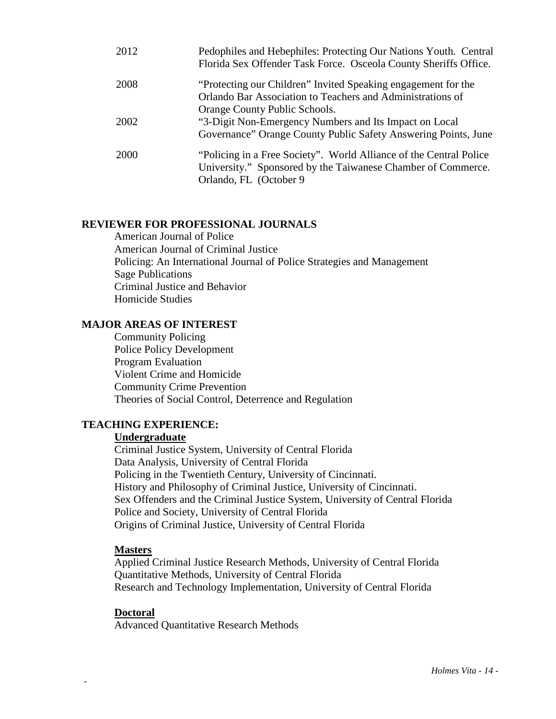| 2012 | Pedophiles and Hebephiles: Protecting Our Nations Youth. Central<br>Florida Sex Offender Task Force. Osceola County Sheriffs Office. |
|------|--------------------------------------------------------------------------------------------------------------------------------------|
| 2008 | "Protecting our Children" Invited Speaking engagement for the                                                                        |
|      | Orlando Bar Association to Teachers and Administrations of                                                                           |
|      | Orange County Public Schools.                                                                                                        |
| 2002 | "3-Digit Non-Emergency Numbers and Its Impact on Local                                                                               |
|      | Governance" Orange County Public Safety Answering Points, June                                                                       |
| 2000 | "Policing in a Free Society". World Alliance of the Central Police                                                                   |
|      | University." Sponsored by the Taiwanese Chamber of Commerce.                                                                         |
|      | Orlando, FL (October 9)                                                                                                              |

### **REVIEWER FOR PROFESSIONAL JOURNALS**

American Journal of Police American Journal of Criminal Justice Policing: An International Journal of Police Strategies and Management Sage Publications Criminal Justice and Behavior Homicide Studies

#### **MAJOR AREAS OF INTEREST**

Community Policing Police Policy Development Program Evaluation Violent Crime and Homicide Community Crime Prevention Theories of Social Control, Deterrence and Regulation

### **TEACHING EXPERIENCE:**

#### **Undergraduate**

Criminal Justice System, University of Central Florida Data Analysis, University of Central Florida Policing in the Twentieth Century, University of Cincinnati. History and Philosophy of Criminal Justice, University of Cincinnati. Sex Offenders and the Criminal Justice System, University of Central Florida Police and Society, University of Central Florida Origins of Criminal Justice, University of Central Florida

#### **Masters**

Applied Criminal Justice Research Methods, University of Central Florida Quantitative Methods, University of Central Florida Research and Technology Implementation, University of Central Florida

#### **Doctoral**

-

Advanced Quantitative Research Methods